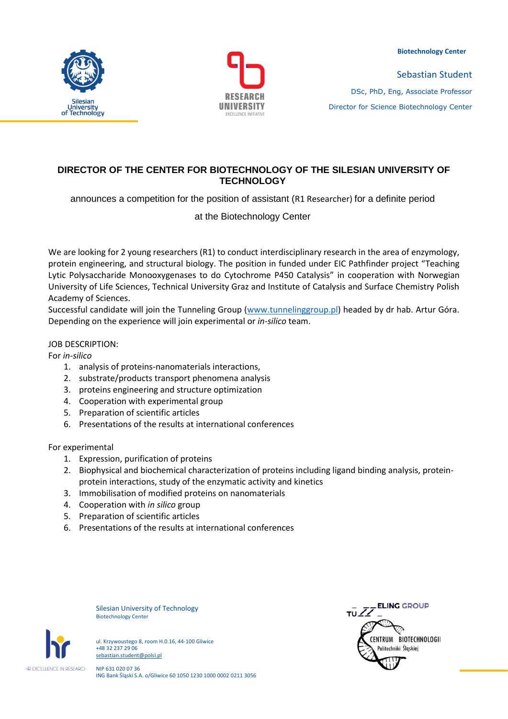



Sebastian Student DSc, PhD, Eng, Associate Professor Director for Science Biotechnology Center

# **DIRECTOR OF THE CENTER FOR BIOTECHNOLOGY OF THE SILESIAN UNIVERSITY OF TECHNOLOGY**

announces a competition for the position of assistant (R1 Researcher) for a definite period

at the Biotechnology Center

We are looking for 2 young researchers (R1) to conduct interdisciplinary research in the area of enzymology, protein engineering, and structural biology. The position in funded under EIC Pathfinder project "Teaching Lytic Polysaccharide Monooxygenases to do Cytochrome P450 Catalysis" in cooperation with Norwegian University of Life Sciences, Technical University Graz and Institute of Catalysis and Surface Chemistry Polish Academy of Sciences.

Successful candidate will join the Tunneling Group [\(www.tunnelinggroup.pl](http://www.tunnelinggroup.pl/)) headed by dr hab. Artur Góra. Depending on the experience will join experimental or *in-silico* team.

## JOB DESCRIPTION:

For *in-silico*

- 1. analysis of proteins-nanomaterials interactions,
- 2. substrate/products transport phenomena analysis
- 3. proteins engineering and structure optimization
- 4. Cooperation with experimental group
- 5. Preparation of scientific articles
- 6. Presentations of the results at international conferences

For experimental

- 1. Expression, purification of proteins
- 2. Biophysical and biochemical characterization of proteins including ligand binding analysis, proteinprotein interactions, study of the enzymatic activity and kinetics
- 3. Immobilisation of modified proteins on nanomaterials
- 4. Cooperation with *in silico* group
- 5. Preparation of scientific articles
- 6. Presentations of the results at international conferences

Silesian University of Technology Biotechnology Center



ul. Krzywoustego 8, room H.0.16, 44-100 Gliwice +48 32 237 29 06 sebastian.student@polsl.pl

NIP 631 020 07 36 ING Bank Śląski S.A. o/Gliwice 60 1050 1230 1000 0002 0211 3056

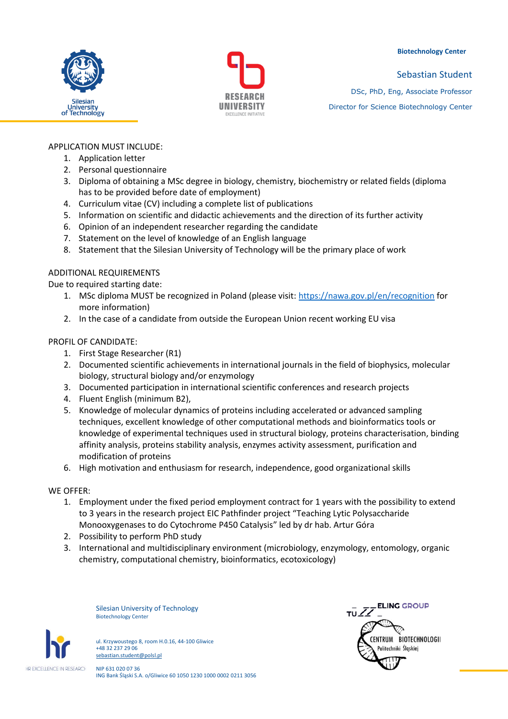





Sebastian Student DSc, PhD, Eng, Associate Professor Director for Science Biotechnology Center

# APPLICATION MUST INCLUDE:

- 1. Application letter
- 2. Personal questionnaire
- 3. Diploma of obtaining a MSc degree in biology, chemistry, biochemistry or related fields (diploma has to be provided before date of employment)
- 4. Curriculum vitae (CV) including a complete list of publications
- 5. Information on scientific and didactic achievements and the direction of its further activity
- 6. Opinion of an independent researcher regarding the candidate
- 7. Statement on the level of knowledge of an English language
- 8. Statement that the Silesian University of Technology will be the primary place of work

## ADDITIONAL REQUIREMENTS

Due to required starting date:

- 1. MSc diploma MUST be recognized in Poland (please visit:<https://nawa.gov.pl/en/recognition> for more information)
- 2. In the case of a candidate from outside the European Union recent working EU visa

## PROFIL OF CANDIDATE:

- 1. First Stage Researcher (R1)
- 2. Documented scientific achievements in international journals in the field of biophysics, molecular biology, structural biology and/or enzymology
- 3. Documented participation in international scientific conferences and research projects
- 4. Fluent English (minimum B2),
- 5. Knowledge of molecular dynamics of proteins including accelerated or advanced sampling techniques, excellent knowledge of other computational methods and bioinformatics tools or knowledge of experimental techniques used in structural biology, proteins characterisation, binding affinity analysis, proteins stability analysis, enzymes activity assessment, purification and modification of proteins
- 6. High motivation and enthusiasm for research, independence, good organizational skills

#### WE OFFER:

- 1. Employment under the fixed period employment contract for 1 years with the possibility to extend to 3 years in the research project EIC Pathfinder project "Teaching Lytic Polysaccharide Monooxygenases to do Cytochrome P450 Catalysis" led by dr hab. Artur Góra
- 2. Possibility to perform PhD study
- 3. International and multidisciplinary environment (microbiology, enzymology, entomology, organic chemistry, computational chemistry, bioinformatics, ecotoxicology)

Silesian University of Technology Biotechnology Center



ul. Krzywoustego 8, room H.0.16, 44-100 Gliwice +48 32 237 29 06 sebastian.student@polsl.pl

NIP 631 020 07 36 ING Bank Śląski S.A. o/Gliwice 60 1050 1230 1000 0002 0211 3056